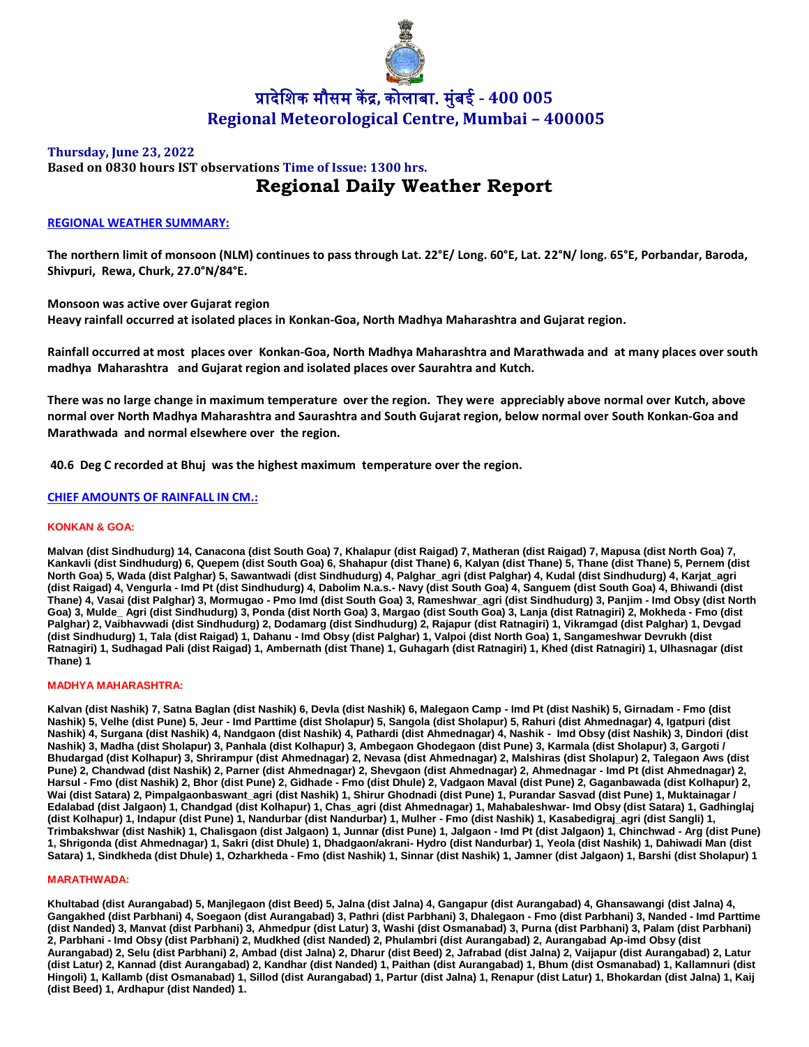

## **Thursday, June 23, 2022**

# **Based on 0830 hours IST observations Time of Issue: 1300 hrs. Regional Daily Weather Report**

## **REGIONAL WEATHER SUMMARY:**

**The northern limit of monsoon (NLM) continues to pass through Lat. 22°E/ Long. 60°E, Lat. 22°N/ long. 65°E, Porbandar, Baroda, Shivpuri, Rewa, Churk, 27.0°N/84°E.**

**Monsoon was active over Gujarat region**

**Heavy rainfall occurred at isolated places in Konkan-Goa, North Madhya Maharashtra and Gujarat region.**

**Rainfall occurred at most places over Konkan-Goa, North Madhya Maharashtra and Marathwada and at many places over south madhya Maharashtra and Gujarat region and isolated places over Saurahtra and Kutch.**

**There was no large change in maximum temperature over the region. They were appreciably above normal over Kutch, above normal over North Madhya Maharashtra and Saurashtra and South Gujarat region, below normal over South Konkan-Goa and Marathwada and normal elsewhere over the region.**

**40.6 Deg C recorded at Bhuj was the highest maximum temperature over the region.**

## **CHIEF AMOUNTS OF RAINFALL IN CM.:**

#### **KONKAN & GOA:**

**Malvan (dist Sindhudurg) 14, Canacona (dist South Goa) 7, Khalapur (dist Raigad) 7, Matheran (dist Raigad) 7, Mapusa (dist North Goa) 7, Kankavli (dist Sindhudurg) 6, Quepem (dist South Goa) 6, Shahapur (dist Thane) 6, Kalyan (dist Thane) 5, Thane (dist Thane) 5, Pernem (dist North Goa) 5, Wada (dist Palghar) 5, Sawantwadi (dist Sindhudurg) 4, Palghar\_agri (dist Palghar) 4, Kudal (dist Sindhudurg) 4, Karjat\_agri (dist Raigad) 4, Vengurla - Imd Pt (dist Sindhudurg) 4, Dabolim N.a.s.- Navy (dist South Goa) 4, Sanguem (dist South Goa) 4, Bhiwandi (dist Thane) 4, Vasai (dist Palghar) 3, Mormugao - Pmo Imd (dist South Goa) 3, Rameshwar\_agri (dist Sindhudurg) 3, Panjim - Imd Obsy (dist North Goa) 3, Mulde\_ Agri (dist Sindhudurg) 3, Ponda (dist North Goa) 3, Margao (dist South Goa) 3, Lanja (dist Ratnagiri) 2, Mokheda - Fmo (dist Palghar) 2, Vaibhavwadi (dist Sindhudurg) 2, Dodamarg (dist Sindhudurg) 2, Rajapur (dist Ratnagiri) 1, Vikramgad (dist Palghar) 1, Devgad (dist Sindhudurg) 1, Tala (dist Raigad) 1, Dahanu - Imd Obsy (dist Palghar) 1, Valpoi (dist North Goa) 1, Sangameshwar Devrukh (dist Ratnagiri) 1, Sudhagad Pali (dist Raigad) 1, Ambernath (dist Thane) 1, Guhagarh (dist Ratnagiri) 1, Khed (dist Ratnagiri) 1, Ulhasnagar (dist Thane) 1**

### **MADHYA MAHARASHTRA:**

**Kalvan (dist Nashik) 7, Satna Baglan (dist Nashik) 6, Devla (dist Nashik) 6, Malegaon Camp - Imd Pt (dist Nashik) 5, Girnadam - Fmo (dist Nashik) 5, Velhe (dist Pune) 5, Jeur - Imd Parttime (dist Sholapur) 5, Sangola (dist Sholapur) 5, Rahuri (dist Ahmednagar) 4, Igatpuri (dist Nashik) 4, Surgana (dist Nashik) 4, Nandgaon (dist Nashik) 4, Pathardi (dist Ahmednagar) 4, Nashik - Imd Obsy (dist Nashik) 3, Dindori (dist Nashik) 3, Madha (dist Sholapur) 3, Panhala (dist Kolhapur) 3, Ambegaon Ghodegaon (dist Pune) 3, Karmala (dist Sholapur) 3, Gargoti / Bhudargad (dist Kolhapur) 3, Shrirampur (dist Ahmednagar) 2, Nevasa (dist Ahmednagar) 2, Malshiras (dist Sholapur) 2, Talegaon Aws (dist Pune) 2, Chandwad (dist Nashik) 2, Parner (dist Ahmednagar) 2, Shevgaon (dist Ahmednagar) 2, Ahmednagar - Imd Pt (dist Ahmednagar) 2, Harsul - Fmo (dist Nashik) 2, Bhor (dist Pune) 2, Gidhade - Fmo (dist Dhule) 2, Vadgaon Maval (dist Pune) 2, Gaganbawada (dist Kolhapur) 2,**  Wai (dist Satara) 2, Pimpalgaonbaswant agri (dist Nashik) 1, Shirur Ghodnadi (dist Pune) 1, Purandar Sasvad (dist Pune) 1, Muktainagar / **Edalabad (dist Jalgaon) 1, Chandgad (dist Kolhapur) 1, Chas\_agri (dist Ahmednagar) 1, Mahabaleshwar- Imd Obsy (dist Satara) 1, Gadhinglaj (dist Kolhapur) 1, Indapur (dist Pune) 1, Nandurbar (dist Nandurbar) 1, Mulher - Fmo (dist Nashik) 1, Kasabedigraj\_agri (dist Sangli) 1, Trimbakshwar (dist Nashik) 1, Chalisgaon (dist Jalgaon) 1, Junnar (dist Pune) 1, Jalgaon - Imd Pt (dist Jalgaon) 1, Chinchwad - Arg (dist Pune) 1, Shrigonda (dist Ahmednagar) 1, Sakri (dist Dhule) 1, Dhadgaon/akrani- Hydro (dist Nandurbar) 1, Yeola (dist Nashik) 1, Dahiwadi Man (dist Satara) 1, Sindkheda (dist Dhule) 1, Ozharkheda - Fmo (dist Nashik) 1, Sinnar (dist Nashik) 1, Jamner (dist Jalgaon) 1, Barshi (dist Sholapur) 1**

#### **MARATHWADA:**

**Khultabad (dist Aurangabad) 5, Manjlegaon (dist Beed) 5, Jalna (dist Jalna) 4, Gangapur (dist Aurangabad) 4, Ghansawangi (dist Jalna) 4, Gangakhed (dist Parbhani) 4, Soegaon (dist Aurangabad) 3, Pathri (dist Parbhani) 3, Dhalegaon - Fmo (dist Parbhani) 3, Nanded - Imd Parttime (dist Nanded) 3, Manvat (dist Parbhani) 3, Ahmedpur (dist Latur) 3, Washi (dist Osmanabad) 3, Purna (dist Parbhani) 3, Palam (dist Parbhani) 2, Parbhani - Imd Obsy (dist Parbhani) 2, Mudkhed (dist Nanded) 2, Phulambri (dist Aurangabad) 2, Aurangabad Ap-imd Obsy (dist Aurangabad) 2, Selu (dist Parbhani) 2, Ambad (dist Jalna) 2, Dharur (dist Beed) 2, Jafrabad (dist Jalna) 2, Vaijapur (dist Aurangabad) 2, Latur (dist Latur) 2, Kannad (dist Aurangabad) 2, Kandhar (dist Nanded) 1, Paithan (dist Aurangabad) 1, Bhum (dist Osmanabad) 1, Kallamnuri (dist Hingoli) 1, Kallamb (dist Osmanabad) 1, Sillod (dist Aurangabad) 1, Partur (dist Jalna) 1, Renapur (dist Latur) 1, Bhokardan (dist Jalna) 1, Kaij (dist Beed) 1, Ardhapur (dist Nanded) 1.**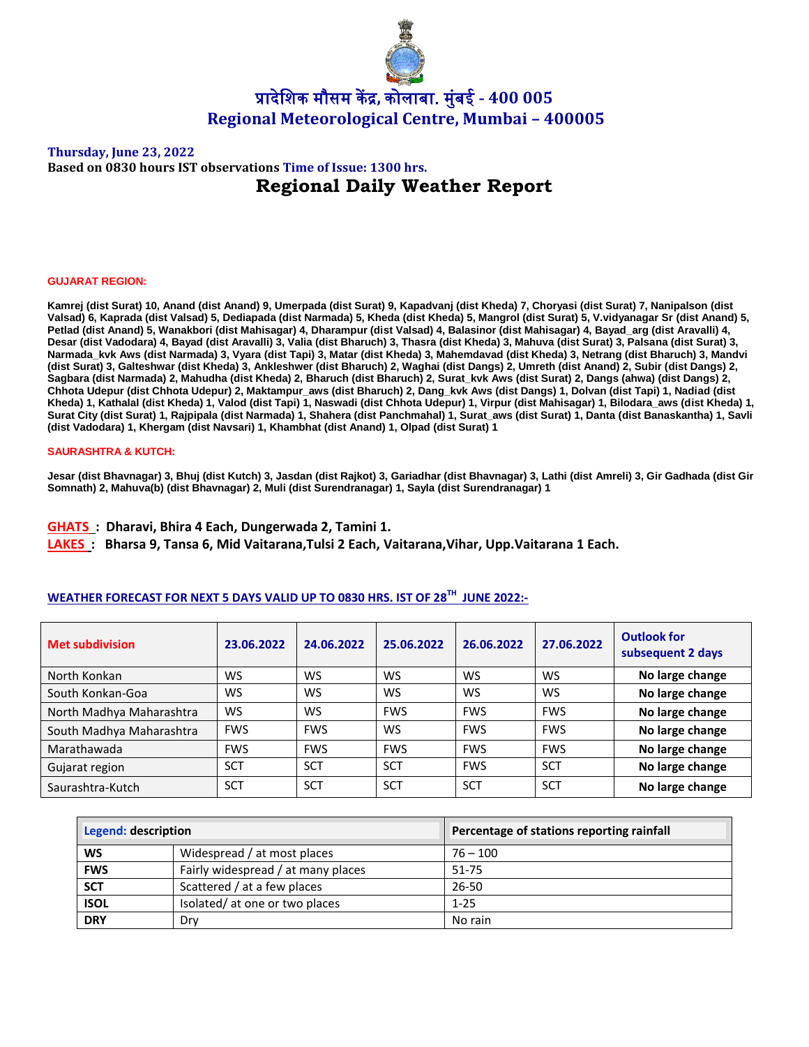

## **Thursday, June 23, 2022 Based on 0830 hours IST observations Time of Issue: 1300 hrs. Regional Daily Weather Report**

#### **GUJARAT REGION:**

**Kamrej (dist Surat) 10, Anand (dist Anand) 9, Umerpada (dist Surat) 9, Kapadvanj (dist Kheda) 7, Choryasi (dist Surat) 7, Nanipalson (dist Valsad) 6, Kaprada (dist Valsad) 5, Dediapada (dist Narmada) 5, Kheda (dist Kheda) 5, Mangrol (dist Surat) 5, V.vidyanagar Sr (dist Anand) 5, Petlad (dist Anand) 5, Wanakbori (dist Mahisagar) 4, Dharampur (dist Valsad) 4, Balasinor (dist Mahisagar) 4, Bayad\_arg (dist Aravalli) 4, Desar (dist Vadodara) 4, Bayad (dist Aravalli) 3, Valia (dist Bharuch) 3, Thasra (dist Kheda) 3, Mahuva (dist Surat) 3, Palsana (dist Surat) 3, Narmada\_kvk Aws (dist Narmada) 3, Vyara (dist Tapi) 3, Matar (dist Kheda) 3, Mahemdavad (dist Kheda) 3, Netrang (dist Bharuch) 3, Mandvi (dist Surat) 3, Galteshwar (dist Kheda) 3, Ankleshwer (dist Bharuch) 2, Waghai (dist Dangs) 2, Umreth (dist Anand) 2, Subir (dist Dangs) 2, Sagbara (dist Narmada) 2, Mahudha (dist Kheda) 2, Bharuch (dist Bharuch) 2, Surat\_kvk Aws (dist Surat) 2, Dangs (ahwa) (dist Dangs) 2, Chhota Udepur (dist Chhota Udepur) 2, Maktampur\_aws (dist Bharuch) 2, Dang\_kvk Aws (dist Dangs) 1, Dolvan (dist Tapi) 1, Nadiad (dist Kheda) 1, Kathalal (dist Kheda) 1, Valod (dist Tapi) 1, Naswadi (dist Chhota Udepur) 1, Virpur (dist Mahisagar) 1, Bilodara\_aws (dist Kheda) 1, Surat City (dist Surat) 1, Rajpipala (dist Narmada) 1, Shahera (dist Panchmahal) 1, Surat\_aws (dist Surat) 1, Danta (dist Banaskantha) 1, Savli (dist Vadodara) 1, Khergam (dist Navsari) 1, Khambhat (dist Anand) 1, Olpad (dist Surat) 1**

#### **SAURASHTRA & KUTCH:**

**Jesar (dist Bhavnagar) 3, Bhuj (dist Kutch) 3, Jasdan (dist Rajkot) 3, Gariadhar (dist Bhavnagar) 3, Lathi (dist Amreli) 3, Gir Gadhada (dist Gir Somnath) 2, Mahuva(b) (dist Bhavnagar) 2, Muli (dist Surendranagar) 1, Sayla (dist Surendranagar) 1**

**GHATS : Dharavi, Bhira 4 Each, Dungerwada 2, Tamini 1.**

**LAKES : Bharsa 9, Tansa 6, Mid Vaitarana,Tulsi 2 Each, Vaitarana,Vihar, Upp.Vaitarana 1 Each.**

## **WEATHER FORECAST FOR NEXT 5 DAYS VALID UP TO 0830 HRS. IST OF 28 TH JUNE 2022:-**

| <b>Met subdivision</b>   | 23.06.2022 | 24.06.2022 | 25.06.2022 | 26.06.2022 | 27.06.2022 | <b>Outlook for</b><br>subsequent 2 days |
|--------------------------|------------|------------|------------|------------|------------|-----------------------------------------|
| North Konkan             | WS         | WS         | <b>WS</b>  | WS         | WS         | No large change                         |
| South Konkan-Goa         | WS         | <b>WS</b>  | <b>WS</b>  | WS         | <b>WS</b>  | No large change                         |
| North Madhya Maharashtra | WS         | WS         | <b>FWS</b> | <b>FWS</b> | <b>FWS</b> | No large change                         |
| South Madhya Maharashtra | <b>FWS</b> | <b>FWS</b> | <b>WS</b>  | <b>FWS</b> | <b>FWS</b> | No large change                         |
| Marathawada              | <b>FWS</b> | <b>FWS</b> | <b>FWS</b> | <b>FWS</b> | <b>FWS</b> | No large change                         |
| Gujarat region           | <b>SCT</b> | <b>SCT</b> | <b>SCT</b> | <b>FWS</b> | <b>SCT</b> | No large change                         |
| Saurashtra-Kutch         | <b>SCT</b> | <b>SCT</b> | <b>SCT</b> | <b>SCT</b> | <b>SCT</b> | No large change                         |

| Legend: description |                                    | Percentage of stations reporting rainfall |  |  |
|---------------------|------------------------------------|-------------------------------------------|--|--|
| <b>WS</b>           | Widespread / at most places        | $76 - 100$                                |  |  |
| <b>FWS</b>          | Fairly widespread / at many places | $51 - 75$                                 |  |  |
| <b>SCT</b>          | Scattered / at a few places        | 26-50                                     |  |  |
| <b>ISOL</b>         | Isolated/ at one or two places     | $1 - 25$                                  |  |  |
| <b>DRY</b>          | Drv                                | No rain                                   |  |  |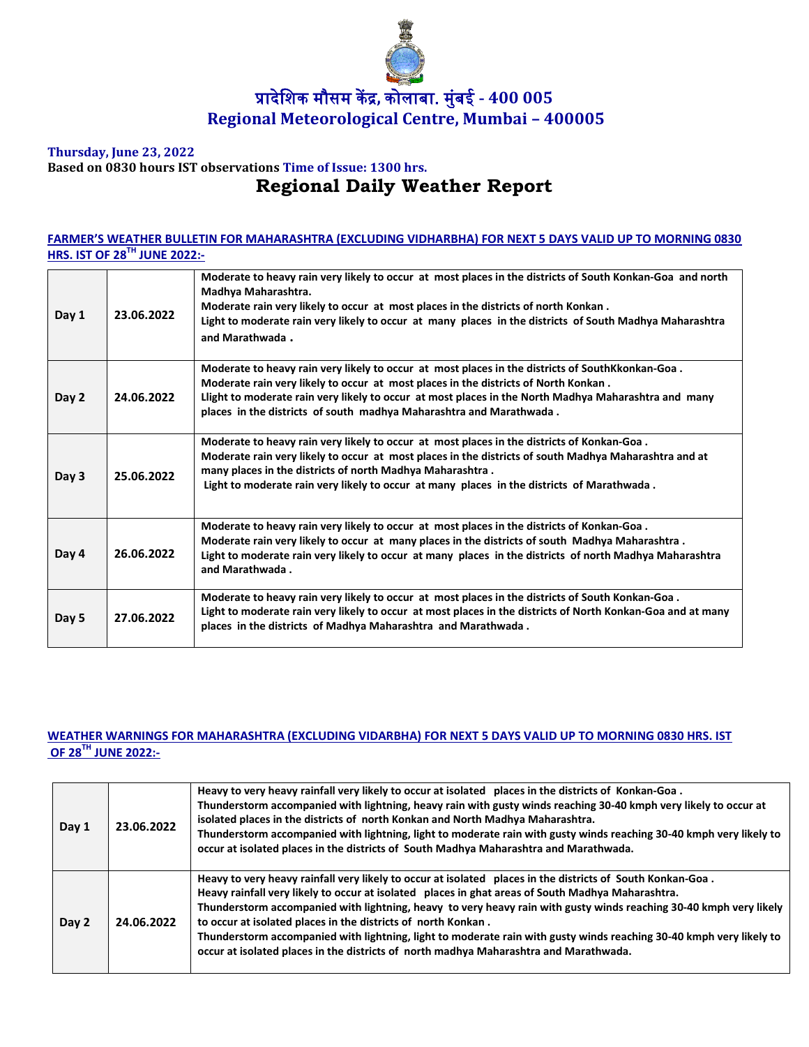

## **Thursday, June 23, 2022 Based on 0830 hours IST observations Time of Issue: 1300 hrs. Regional Daily Weather Report**

## **FARMER'S WEATHER BULLETIN FOR MAHARASHTRA (EXCLUDING VIDHARBHA) FOR NEXT 5 DAYS VALID UP TO MORNING 0830 HRS. IST OF 28 TH JUNE 2022:-**

| Day 1 | 23.06.2022 | Moderate to heavy rain very likely to occur at most places in the districts of South Konkan-Goa and north<br>Madhya Maharashtra.<br>Moderate rain very likely to occur at most places in the districts of north Konkan.<br>Light to moderate rain very likely to occur at many places in the districts of South Madhya Maharashtra<br>and Marathwada.                  |
|-------|------------|------------------------------------------------------------------------------------------------------------------------------------------------------------------------------------------------------------------------------------------------------------------------------------------------------------------------------------------------------------------------|
| Day 2 | 24.06.2022 | Moderate to heavy rain very likely to occur at most places in the districts of SouthKkonkan-Goa.<br>Moderate rain very likely to occur at most places in the districts of North Konkan.<br>Llight to moderate rain very likely to occur at most places in the North Madhya Maharashtra and many<br>places in the districts of south madhya Maharashtra and Marathwada. |
| Day 3 | 25.06.2022 | Moderate to heavy rain very likely to occur at most places in the districts of Konkan-Goa.<br>Moderate rain very likely to occur at most places in the districts of south Madhya Maharashtra and at<br>many places in the districts of north Madhya Maharashtra.<br>Light to moderate rain very likely to occur at many places in the districts of Marathwada.         |
| Day 4 | 26.06.2022 | Moderate to heavy rain very likely to occur at most places in the districts of Konkan-Goa.<br>Moderate rain very likely to occur at many places in the districts of south Madhya Maharashtra.<br>Light to moderate rain very likely to occur at many places in the districts of north Madhya Maharashtra<br>and Marathwada.                                            |
| Day 5 | 27.06.2022 | Moderate to heavy rain very likely to occur at most places in the districts of South Konkan-Goa.<br>Light to moderate rain very likely to occur at most places in the districts of North Konkan-Goa and at many<br>places in the districts of Madhya Maharashtra and Marathwada.                                                                                       |

## **WEATHER WARNINGS FOR MAHARASHTRA (EXCLUDING VIDARBHA) FOR NEXT 5 DAYS VALID UP TO MORNING 0830 HRS. IST OF 28 TH JUNE 2022:-**

| Day 1 | 23.06.2022 | Heavy to very heavy rainfall very likely to occur at isolated places in the districts of Konkan-Goa.<br>Thunderstorm accompanied with lightning, heavy rain with gusty winds reaching 30-40 kmph very likely to occur at<br>isolated places in the districts of north Konkan and North Madhya Maharashtra.<br>Thunderstorm accompanied with lightning, light to moderate rain with gusty winds reaching 30-40 kmph very likely to<br>occur at isolated places in the districts of South Madhya Maharashtra and Marathwada.                                                                                             |
|-------|------------|------------------------------------------------------------------------------------------------------------------------------------------------------------------------------------------------------------------------------------------------------------------------------------------------------------------------------------------------------------------------------------------------------------------------------------------------------------------------------------------------------------------------------------------------------------------------------------------------------------------------|
| Day 2 | 24.06.2022 | Heavy to very heavy rainfall very likely to occur at isolated places in the districts of South Konkan-Goa.<br>Heavy rainfall very likely to occur at isolated places in ghat areas of South Madhya Maharashtra.<br>Thunderstorm accompanied with lightning, heavy to very heavy rain with gusty winds reaching 30-40 kmph very likely<br>to occur at isolated places in the districts of north Konkan.<br>Thunderstorm accompanied with lightning, light to moderate rain with gusty winds reaching 30-40 kmph very likely to<br>occur at isolated places in the districts of north madhya Maharashtra and Marathwada. |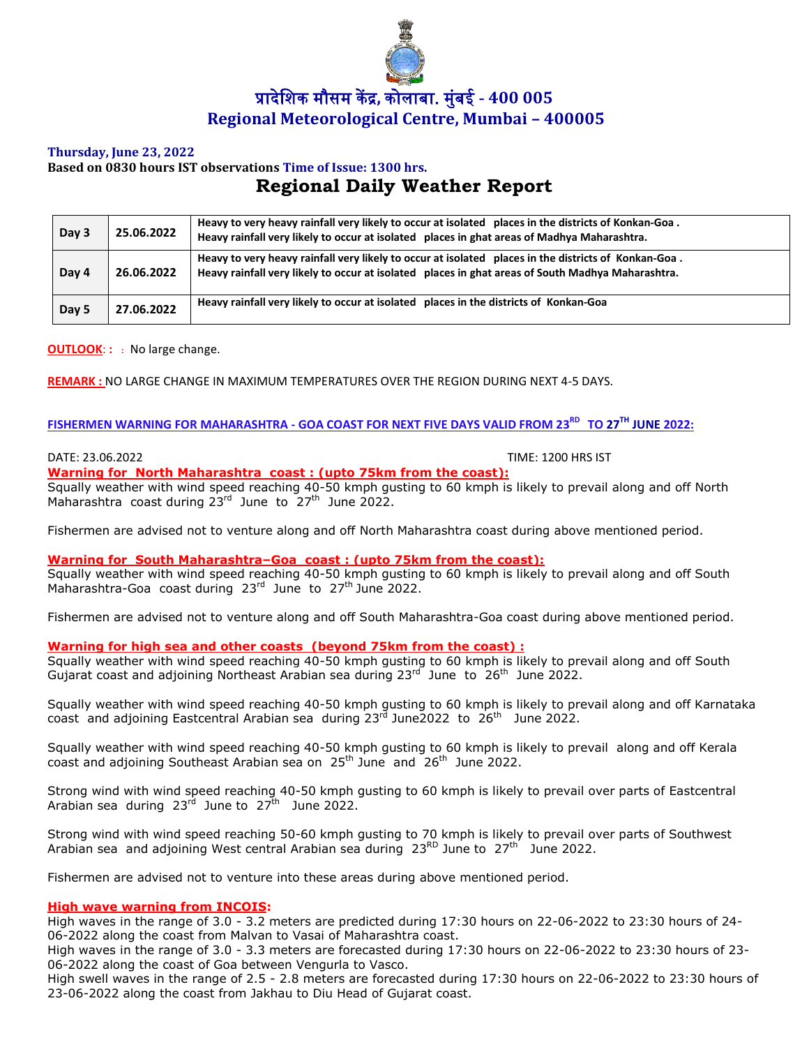

## **Thursday, June 23, 2022**

# **Based on 0830 hours IST observations Time of Issue: 1300 hrs. Regional Daily Weather Report**

| Day 3 | 25.06.2022 | Heavy to very heavy rainfall very likely to occur at isolated places in the districts of Konkan-Goa.<br>Heavy rainfall very likely to occur at isolated places in ghat areas of Madhya Maharashtra.       |
|-------|------------|-----------------------------------------------------------------------------------------------------------------------------------------------------------------------------------------------------------|
| Day 4 | 26.06.2022 | Heavy to very heavy rainfall very likely to occur at isolated places in the districts of Konkan-Goa.<br>Heavy rainfall very likely to occur at isolated places in ghat areas of South Madhya Maharashtra. |
| Day 5 | 27.06.2022 | Heavy rainfall very likely to occur at isolated places in the districts of Konkan-Goa                                                                                                                     |

**OUTLOOK**: **: :** No large change.

**REMARK :** NO LARGE CHANGE IN MAXIMUM TEMPERATURES OVER THE REGION DURING NEXT 4-5 DAYS.

## $\tt FISHERMEN WARNING FOR MAHARASHTRA - GOA COAST FOR NEXT FIVE DAYS VALUE FROM 23<sup>RD</sup> TO 27<sup>TH</sup> JUNE 2022:$

DATE: 23.06.2022 TIME: 1200 HRS IST

# **Warning for North Maharashtra coast : (upto 75km from the coast):**

Squally weather with wind speed reaching 40-50 kmph gusting to 60 kmph is likely to prevail along and off North Maharashtra coast during 23<sup>rd</sup> June to 27<sup>th</sup> June 2022.

Fishermen are advised not to venture along and off North Maharashtra coast during above mentioned period.

## **Warning for South Maharashtra–Goa coast : (upto 75km from the coast):**

Squally weather with wind speed reaching 40-50 kmph gusting to 60 kmph is likely to prevail along and off South Maharashtra-Goa coast during 23<sup>rd</sup> June to 27<sup>th</sup> June 2022.

Fishermen are advised not to venture along and off South Maharashtra-Goa coast during above mentioned period.

## **Warning for high sea and other coasts (beyond 75km from the coast) :**

Squally weather with wind speed reaching 40-50 kmph gusting to 60 kmph is likely to prevail along and off South Gujarat coast and adjoining Northeast Arabian sea during 23<sup>rd</sup> June to 26<sup>th</sup> June 2022.

Squally weather with wind speed reaching 40-50 kmph gusting to 60 kmph is likely to prevail along and off Karnataka coast and adjoining Eastcentral Arabian sea during  $23<sup>rd</sup>$  June2022 to  $26<sup>th</sup>$  June 2022.

Squally weather with wind speed reaching 40-50 kmph gusting to 60 kmph is likely to prevail along and off Kerala coast and adjoining Southeast Arabian sea on 25<sup>th</sup> June and 26<sup>th</sup> June 2022.

Strong wind with wind speed reaching 40-50 kmph gusting to 60 kmph is likely to prevail over parts of Eastcentral Arabian sea during 23<sup>rd</sup> June to 27<sup>th</sup> June 2022.

Strong wind with wind speed reaching 50-60 kmph gusting to 70 kmph is likely to prevail over parts of Southwest Arabian sea and adjoining West central Arabian sea during 23<sup>RD</sup> June to 27<sup>th</sup> June 2022.

Fishermen are advised not to venture into these areas during above mentioned period.

## **High wave warning from INCOIS:**

High waves in the range of 3.0 - 3.2 meters are predicted during 17:30 hours on 22-06-2022 to 23:30 hours of 24- 06-2022 along the coast from Malvan to Vasai of Maharashtra coast.

High waves in the range of 3.0 - 3.3 meters are forecasted during 17:30 hours on 22-06-2022 to 23:30 hours of 23- 06-2022 along the coast of Goa between Vengurla to Vasco.

High swell waves in the range of 2.5 - 2.8 meters are forecasted during 17:30 hours on 22-06-2022 to 23:30 hours of 23-06-2022 along the coast from Jakhau to Diu Head of Gujarat coast.